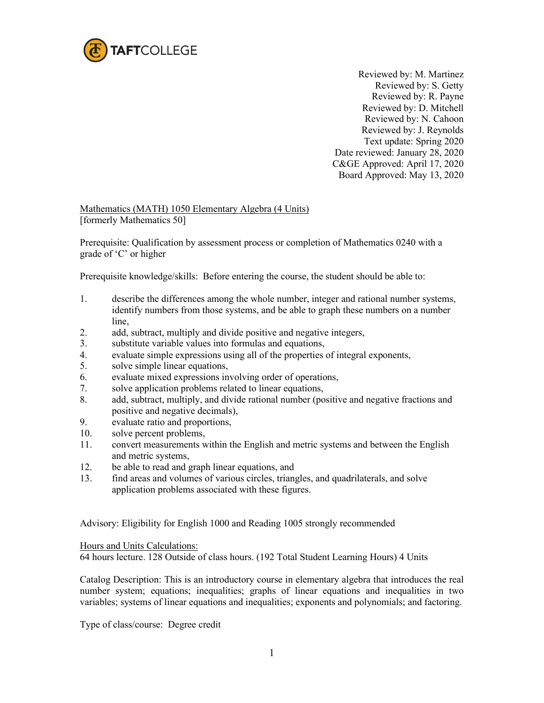

Reviewed by: M. Martinez Reviewed by: S. Getty Reviewed by: R. Payne Reviewed by: D. Mitchell Reviewed by: N. Cahoon Reviewed by: J. Reynolds Text update: Spring 2020 Date reviewed: January 28, 2020 C&GE Approved: April 17, 2020 Board Approved: May 13, 2020

Mathematics (MATH) 1050 Elementary Algebra (4 Units) [formerly Mathematics 50]

Prerequisite: Qualification by assessment process or completion of Mathematics 0240 with a grade of 'C' or higher

Prerequisite knowledge/skills: Before entering the course, the student should be able to:

- 1. describe the differences among the whole number, integer and rational number systems, identify numbers from those systems, and be able to graph these numbers on a number line,
- 2. add, subtract, multiply and divide positive and negative integers,
- 3. substitute variable values into formulas and equations,
- 4. evaluate simple expressions using all of the properties of integral exponents,
- 5. solve simple linear equations,
- 6. evaluate mixed expressions involving order of operations,
- 7. solve application problems related to linear equations,
- 8. add, subtract, multiply, and divide rational number (positive and negative fractions and positive and negative decimals),
- 9. evaluate ratio and proportions,
- 10. solve percent problems,
- 11. convert measurements within the English and metric systems and between the English and metric systems,
- 12. be able to read and graph linear equations, and
- 13. find areas and volumes of various circles, triangles, and quadrilaterals, and solve application problems associated with these figures.

Advisory: Eligibility for English 1000 and Reading 1005 strongly recommended

Hours and Units Calculations:

64 hours lecture. 128 Outside of class hours. (192 Total Student Learning Hours) 4 Units

Catalog Description: This is an introductory course in elementary algebra that introduces the real number system; equations; inequalities; graphs of linear equations and inequalities in two variables; systems of linear equations and inequalities; exponents and polynomials; and factoring.

Type of class/course: Degree credit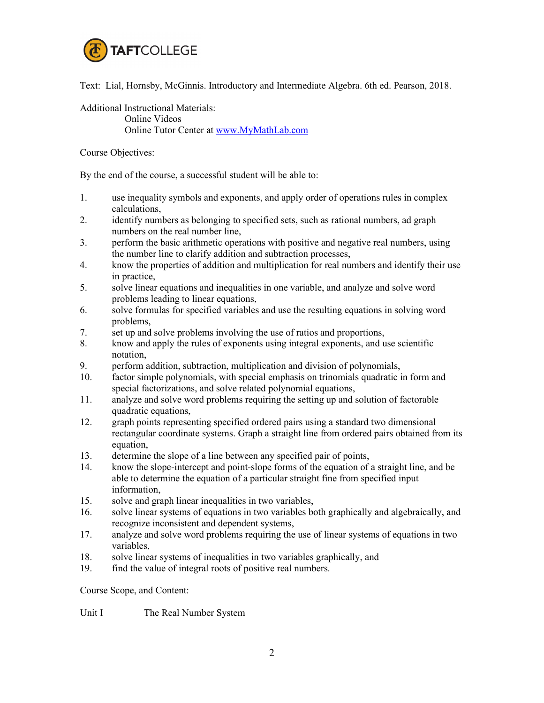

Text: Lial, Hornsby, McGinnis. Introductory and Intermediate Algebra. 6th ed. Pearson, 2018.

Additional Instructional Materials: Online Videos Online Tutor Center at [www.MyMathLab.com](http://www.mymathlab.com/)

Course Objectives:

By the end of the course, a successful student will be able to:

- 1. use inequality symbols and exponents, and apply order of operations rules in complex calculations,
- 2. identify numbers as belonging to specified sets, such as rational numbers, ad graph numbers on the real number line,
- 3. perform the basic arithmetic operations with positive and negative real numbers, using the number line to clarify addition and subtraction processes,
- 4. know the properties of addition and multiplication for real numbers and identify their use in practice,
- 5. solve linear equations and inequalities in one variable, and analyze and solve word problems leading to linear equations,
- 6. solve formulas for specified variables and use the resulting equations in solving word problems,
- 7. set up and solve problems involving the use of ratios and proportions,
- 8. know and apply the rules of exponents using integral exponents, and use scientific notation,
- 9. perform addition, subtraction, multiplication and division of polynomials,
- 10. factor simple polynomials, with special emphasis on trinomials quadratic in form and special factorizations, and solve related polynomial equations,
- 11. analyze and solve word problems requiring the setting up and solution of factorable quadratic equations,
- 12. graph points representing specified ordered pairs using a standard two dimensional rectangular coordinate systems. Graph a straight line from ordered pairs obtained from its equation,
- 13. determine the slope of a line between any specified pair of points,
- 14. know the slope-intercept and point-slope forms of the equation of a straight line, and be able to determine the equation of a particular straight fine from specified input information,
- 15. solve and graph linear inequalities in two variables,
- 16. solve linear systems of equations in two variables both graphically and algebraically, and recognize inconsistent and dependent systems,
- 17. analyze and solve word problems requiring the use of linear systems of equations in two variables,
- 18. solve linear systems of inequalities in two variables graphically, and
- 19. find the value of integral roots of positive real numbers.

Course Scope, and Content:

Unit I The Real Number System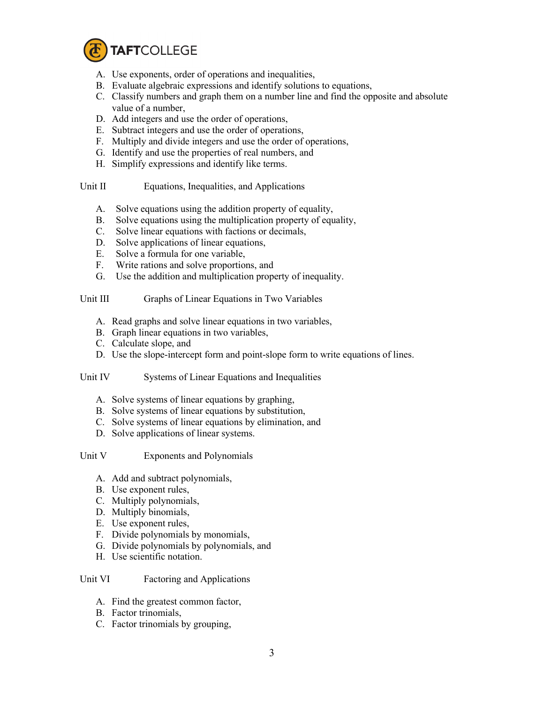

- A. Use exponents, order of operations and inequalities,
- B. Evaluate algebraic expressions and identify solutions to equations,
- C. Classify numbers and graph them on a number line and find the opposite and absolute value of a number,
- D. Add integers and use the order of operations,
- E. Subtract integers and use the order of operations,
- F. Multiply and divide integers and use the order of operations,
- G. Identify and use the properties of real numbers, and
- H. Simplify expressions and identify like terms.

## Unit II Equations, Inequalities, and Applications

- A. Solve equations using the addition property of equality,
- B. Solve equations using the multiplication property of equality,
- C. Solve linear equations with factions or decimals,
- D. Solve applications of linear equations,
- E. Solve a formula for one variable,
- F. Write rations and solve proportions, and
- G. Use the addition and multiplication property of inequality.

## Unit III Graphs of Linear Equations in Two Variables

- A. Read graphs and solve linear equations in two variables,
- B. Graph linear equations in two variables,
- C. Calculate slope, and
- D. Use the slope-intercept form and point-slope form to write equations of lines.

## Unit IV Systems of Linear Equations and Inequalities

- A. Solve systems of linear equations by graphing,
- B. Solve systems of linear equations by substitution,
- C. Solve systems of linear equations by elimination, and
- D. Solve applications of linear systems.

Unit V Exponents and Polynomials

- A. Add and subtract polynomials,
- B. Use exponent rules,
- C. Multiply polynomials,
- D. Multiply binomials,
- E. Use exponent rules,
- F. Divide polynomials by monomials,
- G. Divide polynomials by polynomials, and
- H. Use scientific notation.

## Unit VI Factoring and Applications

- A. Find the greatest common factor,
- B. Factor trinomials,
- C. Factor trinomials by grouping,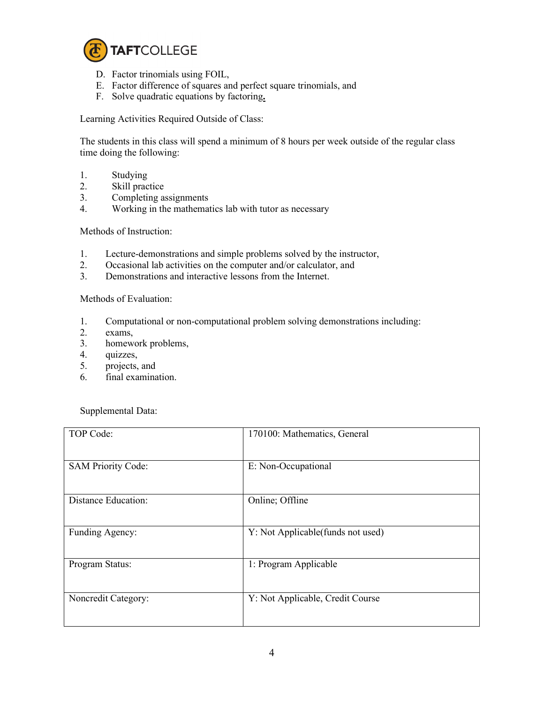

- D. Factor trinomials using FOIL,
- E. Factor difference of squares and perfect square trinomials, and
- F. Solve quadratic equations by factoring**.**

Learning Activities Required Outside of Class:

The students in this class will spend a minimum of 8 hours per week outside of the regular class time doing the following:

- 1. Studying
- 2. Skill practice
- 3. Completing assignments
- 4. Working in the mathematics lab with tutor as necessary

Methods of Instruction:

- 1. Lecture-demonstrations and simple problems solved by the instructor,
- 2. Occasional lab activities on the computer and/or calculator, and
- 3. Demonstrations and interactive lessons from the Internet.

Methods of Evaluation:

- 1. Computational or non-computational problem solving demonstrations including:<br>2. exams,
- exams,
- 3. homework problems,
- 4. quizzes,
- 5. projects, and
- 6. final examination.

Supplemental Data:

| TOP Code:                  | 170100: Mathematics, General       |
|----------------------------|------------------------------------|
| <b>SAM Priority Code:</b>  | E: Non-Occupational                |
| <b>Distance Education:</b> | Online; Offline                    |
| Funding Agency:            | Y: Not Applicable (funds not used) |
| Program Status:            | 1: Program Applicable              |
| Noncredit Category:        | Y: Not Applicable, Credit Course   |